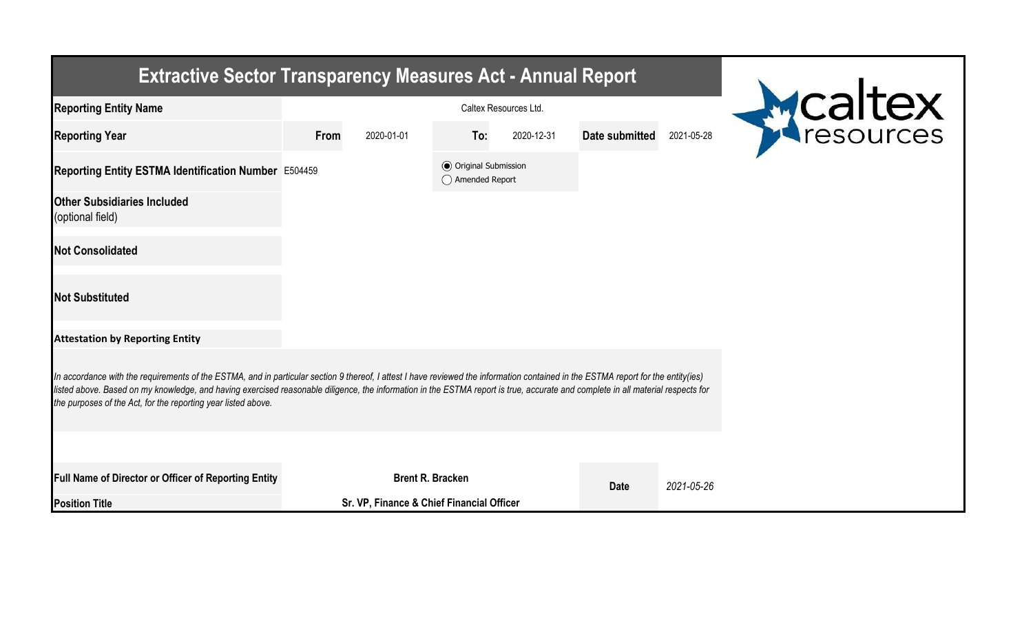| <b>Extractive Sector Transparency Measures Act - Annual Report</b>                                                                                                                                                                                                                                                                                                                                                                    |                       |                                           |                                                  |            |                |            |         |  |  |  |  |
|---------------------------------------------------------------------------------------------------------------------------------------------------------------------------------------------------------------------------------------------------------------------------------------------------------------------------------------------------------------------------------------------------------------------------------------|-----------------------|-------------------------------------------|--------------------------------------------------|------------|----------------|------------|---------|--|--|--|--|
| <b>Reporting Entity Name</b>                                                                                                                                                                                                                                                                                                                                                                                                          | Caltex Resources Ltd. |                                           |                                                  |            |                |            | Mealtex |  |  |  |  |
| <b>Reporting Year</b>                                                                                                                                                                                                                                                                                                                                                                                                                 | From                  | 2020-01-01                                | To:                                              | 2020-12-31 | Date submitted | 2021-05-28 |         |  |  |  |  |
| Reporting Entity ESTMA Identification Number E504459                                                                                                                                                                                                                                                                                                                                                                                  |                       |                                           | <b>⊙</b> Original Submission<br>◯ Amended Report |            |                |            |         |  |  |  |  |
| <b>Other Subsidiaries Included</b><br>(optional field)                                                                                                                                                                                                                                                                                                                                                                                |                       |                                           |                                                  |            |                |            |         |  |  |  |  |
| <b>Not Consolidated</b>                                                                                                                                                                                                                                                                                                                                                                                                               |                       |                                           |                                                  |            |                |            |         |  |  |  |  |
| <b>Not Substituted</b>                                                                                                                                                                                                                                                                                                                                                                                                                |                       |                                           |                                                  |            |                |            |         |  |  |  |  |
| <b>Attestation by Reporting Entity</b>                                                                                                                                                                                                                                                                                                                                                                                                |                       |                                           |                                                  |            |                |            |         |  |  |  |  |
| In accordance with the requirements of the ESTMA, and in particular section 9 thereof, I attest I have reviewed the information contained in the ESTMA report for the entity(ies)<br>listed above. Based on my knowledge, and having exercised reasonable diligence, the information in the ESTMA report is true, accurate and complete in all material respects for<br>the purposes of the Act, for the reporting year listed above. |                       |                                           |                                                  |            |                |            |         |  |  |  |  |
|                                                                                                                                                                                                                                                                                                                                                                                                                                       |                       |                                           |                                                  |            |                |            |         |  |  |  |  |
| <b>Full Name of Director or Officer of Reporting Entity</b>                                                                                                                                                                                                                                                                                                                                                                           |                       |                                           | <b>Brent R. Bracken</b>                          |            | <b>Date</b>    | 2021-05-26 |         |  |  |  |  |
| <b>Position Title</b>                                                                                                                                                                                                                                                                                                                                                                                                                 |                       | Sr. VP, Finance & Chief Financial Officer |                                                  |            |                |            |         |  |  |  |  |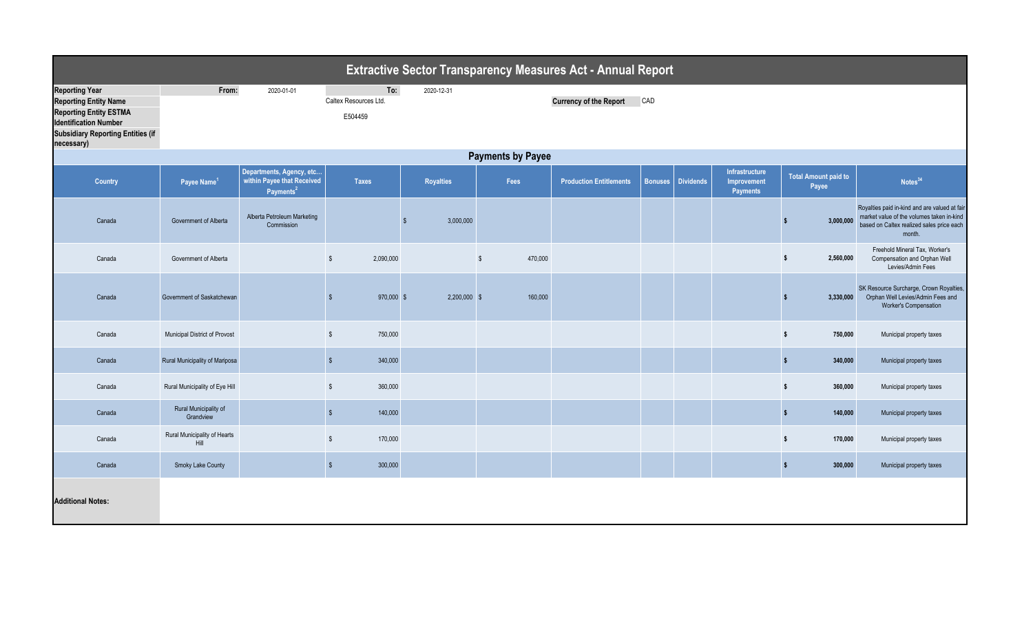|                                                                                                                                                                                  | <b>Extractive Sector Transparency Measures Act - Annual Report</b> |                                                                                 |                                         |                  |                          |                                |                |                  |                                                  |                                      |                                                                                                                                                   |  |
|----------------------------------------------------------------------------------------------------------------------------------------------------------------------------------|--------------------------------------------------------------------|---------------------------------------------------------------------------------|-----------------------------------------|------------------|--------------------------|--------------------------------|----------------|------------------|--------------------------------------------------|--------------------------------------|---------------------------------------------------------------------------------------------------------------------------------------------------|--|
| <b>Reporting Year</b><br><b>Reporting Entity Name</b><br><b>Reporting Entity ESTMA</b><br><b>Identification Number</b><br><b>Subsidiary Reporting Entities (if</b><br>necessary) | From:                                                              | 2020-01-01                                                                      | To:<br>Caltex Resources Ltd.<br>E504459 | 2020-12-31       |                          | <b>Currency of the Report</b>  | CAD            |                  |                                                  |                                      |                                                                                                                                                   |  |
|                                                                                                                                                                                  | <b>Payments by Payee</b>                                           |                                                                                 |                                         |                  |                          |                                |                |                  |                                                  |                                      |                                                                                                                                                   |  |
| <b>Country</b>                                                                                                                                                                   | Payee Name <sup>1</sup>                                            | Departments, Agency, etc<br>within Payee that Received<br>Payments <sup>2</sup> | <b>Taxes</b>                            | <b>Royalties</b> | Fees                     | <b>Production Entitlements</b> | <b>Bonuses</b> | <b>Dividends</b> | <b>Infrastructure</b><br>Improvement<br>Payments | <b>Total Amount paid to</b><br>Payee | Notes <sup>34</sup>                                                                                                                               |  |
| Canada                                                                                                                                                                           | Government of Alberta                                              | Alberta Petroleum Marketing<br>Commission                                       |                                         | 3,000,000<br>-9  |                          |                                |                |                  |                                                  | 3,000,000                            | Royalties paid in-kind and are valued at fair<br>market value of the volumes taken in-kind<br>based on Caltex realized sales price each<br>month. |  |
| Canada                                                                                                                                                                           | Government of Alberta                                              |                                                                                 | $\sqrt[6]{\frac{1}{2}}$<br>2,090,000    |                  | $\sqrt[6]{3}$<br>470,000 |                                |                |                  |                                                  | 2,560,000<br>s.                      | Freehold Mineral Tax, Worker's<br>Compensation and Orphan Well<br>Levies/Admin Fees                                                               |  |
| Canada                                                                                                                                                                           | Government of Saskatchewan                                         |                                                                                 | 970,000 \$<br>$\mathbb{S}$              | $2,200,000$ \$   | 160,000                  |                                |                |                  |                                                  | 3,330,000                            | SK Resource Surcharge, Crown Royalties,<br>Orphan Well Levies/Admin Fees and<br><b>Worker's Compensation</b>                                      |  |
| Canada                                                                                                                                                                           | Municipal District of Provost                                      |                                                                                 | $$\tilde{\phantom{a}}$$<br>750,000      |                  |                          |                                |                |                  |                                                  | 750,000<br>$\frac{1}{2}$             | Municipal property taxes                                                                                                                          |  |
| Canada                                                                                                                                                                           | Rural Municipality of Mariposa                                     |                                                                                 | $\mathsf{\$}$<br>340,000                |                  |                          |                                |                |                  |                                                  | 340,000<br>$\frac{1}{2}$             | Municipal property taxes                                                                                                                          |  |
| Canada                                                                                                                                                                           | Rural Municipality of Eye Hill                                     |                                                                                 | $\sqrt[6]{\frac{1}{2}}$<br>360,000      |                  |                          |                                |                |                  |                                                  | 360,000<br>$\mathbf{s}$              | Municipal property taxes                                                                                                                          |  |
| Canada                                                                                                                                                                           | Rural Municipality of<br>Grandview                                 |                                                                                 | $\mathsf{\$}$<br>140,000                |                  |                          |                                |                |                  |                                                  | $\sqrt{2}$<br>140,000                | Municipal property taxes                                                                                                                          |  |
| Canada                                                                                                                                                                           | Rural Municipality of Hearts<br>Hill                               |                                                                                 | $\frac{1}{2}$<br>170,000                |                  |                          |                                |                |                  |                                                  | $\frac{1}{2}$<br>170,000             | Municipal property taxes                                                                                                                          |  |
| Canada                                                                                                                                                                           | Smoky Lake County                                                  |                                                                                 | 300,000<br>$\sqrt[6]{3}$                |                  |                          |                                |                |                  |                                                  | 300,000<br>$\frac{1}{2}$             | Municipal property taxes                                                                                                                          |  |
| <b>Additional Notes:</b>                                                                                                                                                         |                                                                    |                                                                                 |                                         |                  |                          |                                |                |                  |                                                  |                                      |                                                                                                                                                   |  |